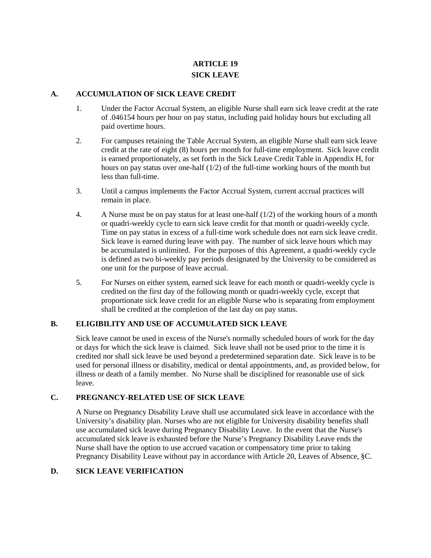# **ARTICLE 19 SICK LEAVE**

#### **A. ACCUMULATION OF SICK LEAVE CREDIT**

- 1. Under the Factor Accrual System, an eligible Nurse shall earn sick leave credit at the rate of .046154 hours per hour on pay status, including paid holiday hours but excluding all paid overtime hours.
- 2. For campuses retaining the Table Accrual System, an eligible Nurse shall earn sick leave credit at the rate of eight (8) hours per month for full-time employment. Sick leave credit is earned proportionately, as set forth in the Sick Leave Credit Table in Appendix H, for hours on pay status over one-half  $(1/2)$  of the full-time working hours of the month but less than full-time.
- 3. Until a campus implements the Factor Accrual System, current accrual practices will remain in place.
- 4. A Nurse must be on pay status for at least one-half (1/2) of the working hours of a month or quadri-weekly cycle to earn sick leave credit for that month or quadri-weekly cycle. Time on pay status in excess of a full-time work schedule does not earn sick leave credit. Sick leave is earned during leave with pay. The number of sick leave hours which may be accumulated is unlimited. For the purposes of this Agreement, a quadri-weekly cycle is defined as two bi-weekly pay periods designated by the University to be considered as one unit for the purpose of leave accrual.
- 5. For Nurses on either system, earned sick leave for each month or quadri-weekly cycle is credited on the first day of the following month or quadri-weekly cycle, except that proportionate sick leave credit for an eligible Nurse who is separating from employment shall be credited at the completion of the last day on pay status.

## **B. ELIGIBILITY AND USE OF ACCUMULATED SICK LEAVE**

Sick leave cannot be used in excess of the Nurse's normally scheduled hours of work for the day or days for which the sick leave is claimed. Sick leave shall not be used prior to the time it is credited nor shall sick leave be used beyond a predetermined separation date. Sick leave is to be used for personal illness or disability, medical or dental appointments, and, as provided below, for illness or death of a family member. No Nurse shall be disciplined for reasonable use of sick leave.

## **C. PREGNANCY-RELATED USE OF SICK LEAVE**

A Nurse on Pregnancy Disability Leave shall use accumulated sick leave in accordance with the University's disability plan. Nurses who are not eligible for University disability benefits shall use accumulated sick leave during Pregnancy Disability Leave. In the event that the Nurse's accumulated sick leave is exhausted before the Nurse's Pregnancy Disability Leave ends the Nurse shall have the option to use accrued vacation or compensatory time prior to taking Pregnancy Disability Leave without pay in accordance with Article 20, Leaves of Absence, §C.

#### **D. SICK LEAVE VERIFICATION**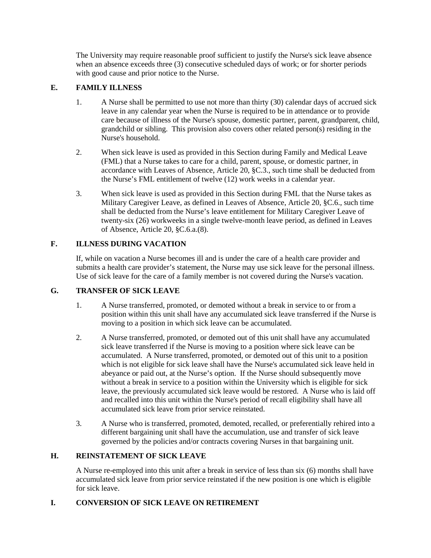The University may require reasonable proof sufficient to justify the Nurse's sick leave absence when an absence exceeds three (3) consecutive scheduled days of work; or for shorter periods with good cause and prior notice to the Nurse.

# **E. FAMILY ILLNESS**

- 1. A Nurse shall be permitted to use not more than thirty (30) calendar days of accrued sick leave in any calendar year when the Nurse is required to be in attendance or to provide care because of illness of the Nurse's spouse, domestic partner, parent, grandparent, child, grandchild or sibling. This provision also covers other related person(s) residing in the Nurse's household.
- 2. When sick leave is used as provided in this Section during Family and Medical Leave (FML) that a Nurse takes to care for a child, parent, spouse, or domestic partner, in accordance with Leaves of Absence, Article 20, §C.3., such time shall be deducted from the Nurse's FML entitlement of twelve (12) work weeks in a calendar year.
- 3. When sick leave is used as provided in this Section during FML that the Nurse takes as Military Caregiver Leave, as defined in Leaves of Absence, Article 20, §C.6., such time shall be deducted from the Nurse's leave entitlement for Military Caregiver Leave of twenty-six (26) workweeks in a single twelve-month leave period, as defined in Leaves of Absence, Article 20, §C.6.a.(8).

# **F. ILLNESS DURING VACATION**

If, while on vacation a Nurse becomes ill and is under the care of a health care provider and submits a health care provider's statement, the Nurse may use sick leave for the personal illness. Use of sick leave for the care of a family member is not covered during the Nurse's vacation.

## **G. TRANSFER OF SICK LEAVE**

- 1. A Nurse transferred, promoted, or demoted without a break in service to or from a position within this unit shall have any accumulated sick leave transferred if the Nurse is moving to a position in which sick leave can be accumulated.
- 2. A Nurse transferred, promoted, or demoted out of this unit shall have any accumulated sick leave transferred if the Nurse is moving to a position where sick leave can be accumulated. A Nurse transferred, promoted, or demoted out of this unit to a position which is not eligible for sick leave shall have the Nurse's accumulated sick leave held in abeyance or paid out, at the Nurse's option. If the Nurse should subsequently move without a break in service to a position within the University which is eligible for sick leave, the previously accumulated sick leave would be restored. A Nurse who is laid off and recalled into this unit within the Nurse's period of recall eligibility shall have all accumulated sick leave from prior service reinstated.
- 3. A Nurse who is transferred, promoted, demoted, recalled, or preferentially rehired into a different bargaining unit shall have the accumulation, use and transfer of sick leave governed by the policies and/or contracts covering Nurses in that bargaining unit.

## **H. REINSTATEMENT OF SICK LEAVE**

A Nurse re-employed into this unit after a break in service of less than six (6) months shall have accumulated sick leave from prior service reinstated if the new position is one which is eligible for sick leave.

## **I. CONVERSION OF SICK LEAVE ON RETIREMENT**